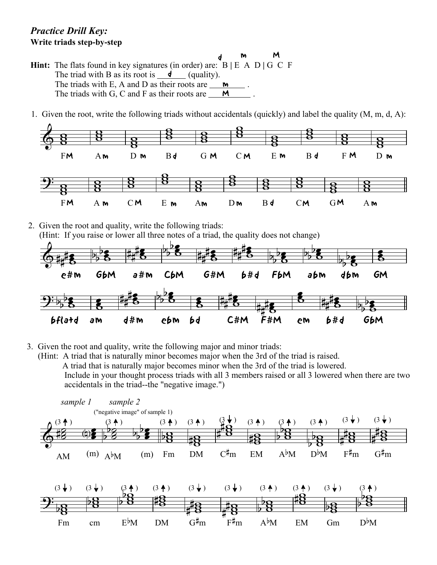## *Practice Drill Key:* **Write triads step-by-step**

Fm

cm

- **Hint:** The flats found in key signatures (in order) are: B **|** E A D **|** G C F The triad with B as its root is  $\frac{\mathsf{d}}{\mathsf{d}}$  (quality). The triads with E, A and D as their roots are  $\frac{M}{\sqrt{2}}$ . The triads with G, C and F as their roots are  $\frac{M}{\sqrt{M}}$ . d m M
- 1. Given the root, write the following triads without accidentals (quickly) and label the quality (M, m, d, A):



2. Given the root and quality, write the following triads: (Hint: If you raise or lower all three notes of a triad, the quality does not change)



3. Given the root and quality, write the following major and minor triads:

DM

 (Hint: A triad that is naturally minor becomes major when the 3rd of the triad is raised. A triad that is naturally major becomes minor when the 3rd of the triad is lowered. Include in your thought process triads with all 3 members raised or all 3 lowered when there are two accidentals in the triad--the "negative image.")



EM

Gm